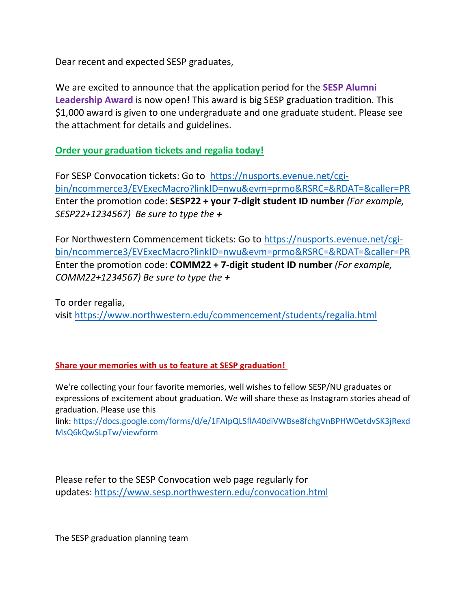Dear recent and expected SESP graduates,

We are excited to announce that the application period for the **SESP Alumni Leadership Award** is now open! This award is big SESP graduation tradition. This \$1,000 award is given to one undergraduate and one graduate student. Please see the attachment for details and guidelines.

**Order your graduation tickets and regalia today!**

For SESP Convocation tickets: Go to  [https://nusports.evenue.net/cgi](https://nusports.evenue.net/cgi-bin/ncommerce3/EVExecMacro?linkID=nwu&evm=prmo&RSRC=&RDAT=&caller=PR)[bin/ncommerce3/EVExecMacro?linkID=nwu&evm=prmo&RSRC=&RDAT=&caller=PR](https://nusports.evenue.net/cgi-bin/ncommerce3/EVExecMacro?linkID=nwu&evm=prmo&RSRC=&RDAT=&caller=PR) Enter the promotion code: **SESP22 + your 7-digit student ID number** *(For example, SESP22+1234567) Be sure to type the +*

For Northwestern Commencement tickets: Go to [https://nusports.evenue.net/cgi](https://nusports.evenue.net/cgi-bin/ncommerce3/EVExecMacro?linkID=nwu&evm=prmo&RSRC=&RDAT=&caller=PR)[bin/ncommerce3/EVExecMacro?linkID=nwu&evm=prmo&RSRC=&RDAT=&caller=PR](https://nusports.evenue.net/cgi-bin/ncommerce3/EVExecMacro?linkID=nwu&evm=prmo&RSRC=&RDAT=&caller=PR) Enter the promotion code: **COMM22 + 7-digit student ID number** *(For example, COMM22+1234567) Be sure to type the +*

To order regalia, visit <https://www.northwestern.edu/commencement/students/regalia.html>

## **Share your memories with us to feature at SESP graduation!**

We're collecting your four favorite memories, well wishes to fellow SESP/NU graduates or expressions of excitement about graduation. We will share these as Instagram stories ahead of graduation. Please use this

link: [https://docs.google.com/forms/d/e/1FAIpQLSflA40diVWBse8fchgVnBPHW0etdvSK3jRexd](https://docs.google.com/forms/d/e/1FAIpQLSflA40diVWBse8fchgVnBPHW0etdvSK3jRexdMsQ6kQwSLpTw/viewform) [MsQ6kQwSLpTw/viewform](https://docs.google.com/forms/d/e/1FAIpQLSflA40diVWBse8fchgVnBPHW0etdvSK3jRexdMsQ6kQwSLpTw/viewform) 

Please refer to the SESP Convocation web page regularly for updates: <https://www.sesp.northwestern.edu/convocation.html>

The SESP graduation planning team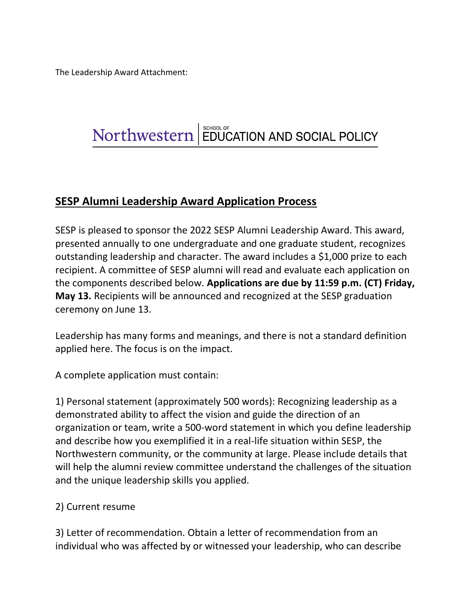The Leadership Award Attachment:

## Northwestern | EDUCATION AND SOCIAL POLICY

## **SESP Alumni Leadership Award Application Process**

SESP is pleased to sponsor the 2022 SESP Alumni Leadership Award. This award, presented annually to one undergraduate and one graduate student, recognizes outstanding leadership and character. The award includes a \$1,000 prize to each recipient. A committee of SESP alumni will read and evaluate each application on the components described below. **Applications are due by 11:59 p.m. (CT) Friday, May 13.** Recipients will be announced and recognized at the SESP graduation ceremony on June 13.

Leadership has many forms and meanings, and there is not a standard definition applied here. The focus is on the impact.

A complete application must contain:

1) Personal statement (approximately 500 words): Recognizing leadership as a demonstrated ability to affect the vision and guide the direction of an organization or team, write a 500-word statement in which you define leadership and describe how you exemplified it in a real-life situation within SESP, the Northwestern community, or the community at large. Please include details that will help the alumni review committee understand the challenges of the situation and the unique leadership skills you applied.

## 2) Current resume

3) Letter of recommendation. Obtain a letter of recommendation from an individual who was affected by or witnessed your leadership, who can describe